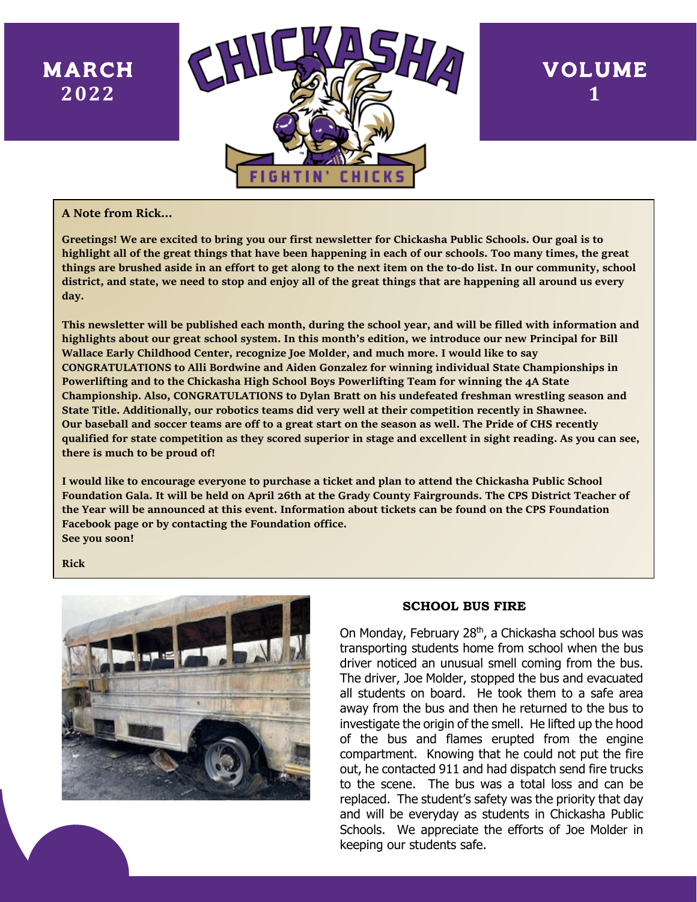## MARCH **2022**



# VOLUME **1**

#### **A Note from Rick…**

**Greetings! We are excited to bring you our first newsletter for Chickasha Public Schools. Our goal is to highlight all of the great things that have been happening in each of our schools. Too many times, the great things are brushed aside in an effort to get along to the next item on the to-do list. In our community, school district, and state, we need to stop and enjoy all of the great things that are happening all around us every day.**

**This newsletter will be published each month, during the school year, and will be filled with information and highlights about our great school system. In this month's edition, we introduce our new Principal for Bill Wallace Early Childhood Center, recognize Joe Molder, and much more. I would like to say CONGRATULATIONS to Alli Bordwine and Aiden Gonzalez for winning individual State Championships in Powerlifting and to the Chickasha High School Boys Powerlifting Team for winning the 4A State Championship. Also, CONGRATULATIONS to Dylan Bratt on his undefeated freshman wrestling season and State Title. Additionally, our robotics teams did very well at their competition recently in Shawnee. Our baseball and soccer teams are off to a great start on the season as well. The Pride of CHS recently qualified for state competition as they scored superior in stage and excellent in sight reading. As you can see, there is much to be proud of!**

**I would like to encourage everyone to purchase a ticket and plan to attend the Chickasha Public School Foundation Gala. It will be held on April 26th at the Grady County Fairgrounds. The CPS District Teacher of the Year will be announced at this event. Information about tickets can be found on the CPS Foundation Facebook page or by contacting the Foundation office. See you soon!**

**Rick**



Www.chickasha.kt/

#### **SCHOOL BUS FIRE**

On Monday, February 28<sup>th</sup>, a Chickasha school bus was transporting students home from school when the bus driver noticed an unusual smell coming from the bus. The driver, Joe Molder, stopped the bus and evacuated all students on board. He took them to a safe area away from the bus and then he returned to the bus to investigate the origin of the smell. He lifted up the hood of the bus and flames erupted from the engine compartment. Knowing that he could not put the fire out, he contacted 911 and had dispatch send fire trucks to the scene. The bus was a total loss and can be replaced. The student's safety was the priority that day and will be everyday as students in Chickasha Public Schools. We appreciate the efforts of Joe Molder in keeping our students safe.